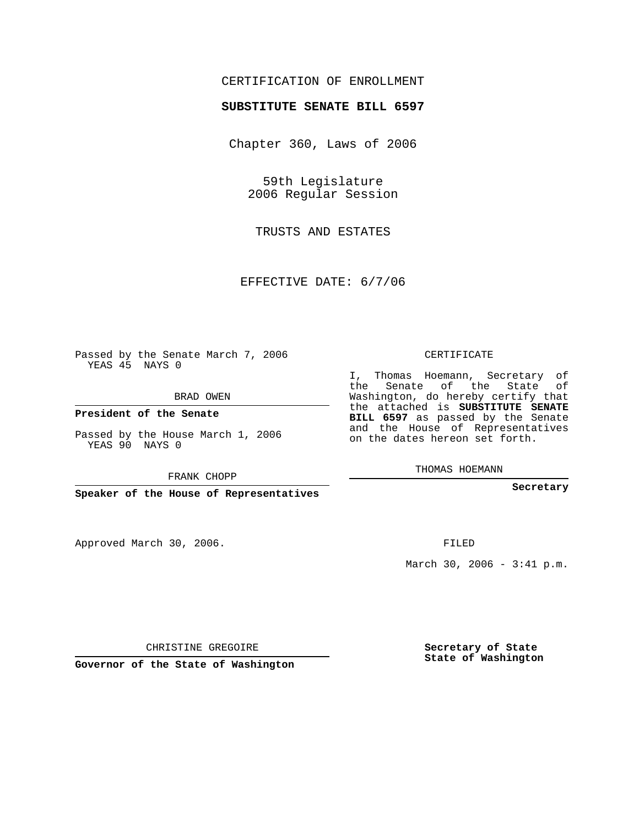## CERTIFICATION OF ENROLLMENT

## **SUBSTITUTE SENATE BILL 6597**

Chapter 360, Laws of 2006

59th Legislature 2006 Regular Session

TRUSTS AND ESTATES

EFFECTIVE DATE: 6/7/06

Passed by the Senate March 7, 2006 YEAS 45 NAYS 0

BRAD OWEN

**President of the Senate**

Passed by the House March 1, 2006 YEAS 90 NAYS 0

FRANK CHOPP

**Speaker of the House of Representatives**

Approved March 30, 2006.

CERTIFICATE

I, Thomas Hoemann, Secretary of the Senate of the State of Washington, do hereby certify that the attached is **SUBSTITUTE SENATE BILL 6597** as passed by the Senate and the House of Representatives on the dates hereon set forth.

THOMAS HOEMANN

**Secretary**

FILED

March 30, 2006 - 3:41 p.m.

CHRISTINE GREGOIRE

**Governor of the State of Washington**

**Secretary of State State of Washington**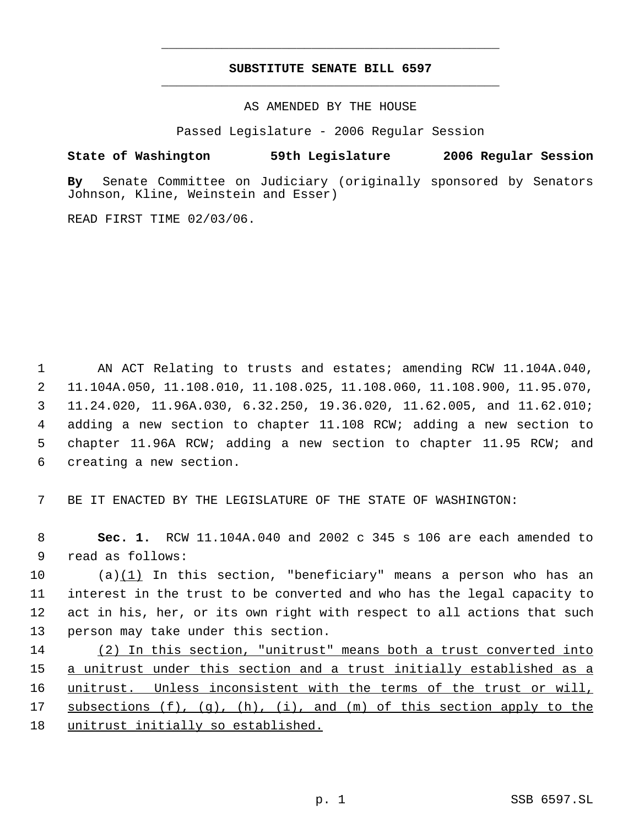## **SUBSTITUTE SENATE BILL 6597** \_\_\_\_\_\_\_\_\_\_\_\_\_\_\_\_\_\_\_\_\_\_\_\_\_\_\_\_\_\_\_\_\_\_\_\_\_\_\_\_\_\_\_\_\_

\_\_\_\_\_\_\_\_\_\_\_\_\_\_\_\_\_\_\_\_\_\_\_\_\_\_\_\_\_\_\_\_\_\_\_\_\_\_\_\_\_\_\_\_\_

AS AMENDED BY THE HOUSE

Passed Legislature - 2006 Regular Session

## **State of Washington 59th Legislature 2006 Regular Session**

**By** Senate Committee on Judiciary (originally sponsored by Senators Johnson, Kline, Weinstein and Esser)

READ FIRST TIME 02/03/06.

 AN ACT Relating to trusts and estates; amending RCW 11.104A.040, 11.104A.050, 11.108.010, 11.108.025, 11.108.060, 11.108.900, 11.95.070, 11.24.020, 11.96A.030, 6.32.250, 19.36.020, 11.62.005, and 11.62.010; adding a new section to chapter 11.108 RCW; adding a new section to chapter 11.96A RCW; adding a new section to chapter 11.95 RCW; and creating a new section.

7 BE IT ENACTED BY THE LEGISLATURE OF THE STATE OF WASHINGTON:

 8 **Sec. 1.** RCW 11.104A.040 and 2002 c 345 s 106 are each amended to 9 read as follows:

 (a)(1) In this section, "beneficiary" means a person who has an interest in the trust to be converted and who has the legal capacity to act in his, her, or its own right with respect to all actions that such person may take under this section.

14 (2) In this section, "unitrust" means both a trust converted into 15 a unitrust under this section and a trust initially established as a 16 unitrust. Unless inconsistent with the terms of the trust or will, 17 subsections (f), (g), (h), (i), and (m) of this section apply to the 18 unitrust initially so established.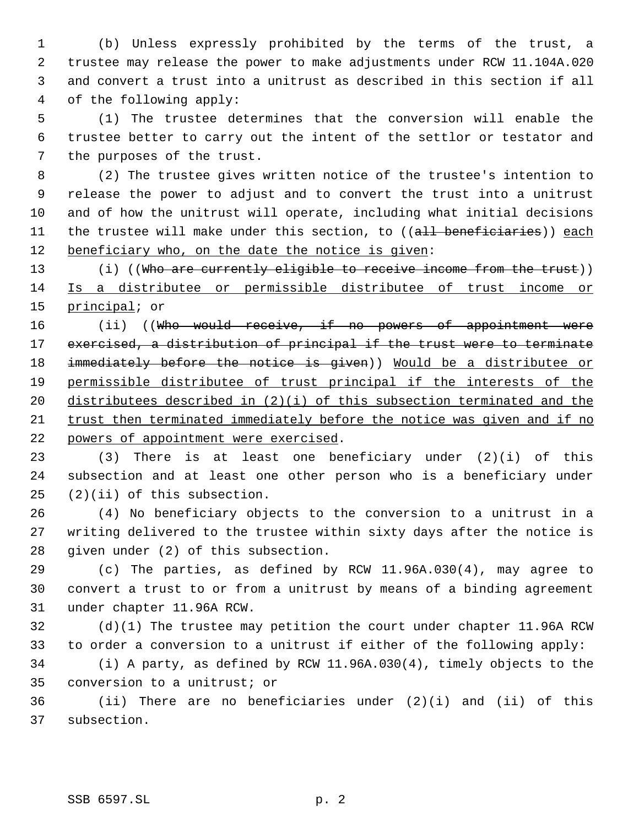(b) Unless expressly prohibited by the terms of the trust, a trustee may release the power to make adjustments under RCW 11.104A.020 and convert a trust into a unitrust as described in this section if all of the following apply:

 (1) The trustee determines that the conversion will enable the trustee better to carry out the intent of the settlor or testator and the purposes of the trust.

 (2) The trustee gives written notice of the trustee's intention to release the power to adjust and to convert the trust into a unitrust and of how the unitrust will operate, including what initial decisions 11 the trustee will make under this section, to ((all beneficiaries)) each 12 beneficiary who, on the date the notice is given:

13 (i) ((Who are currently eligible to receive income from the trust)) Is a distributee or permissible distributee of trust income or 15 principal; or

16 (ii) ((Who would receive, if no powers of appointment were exercised, a distribution of principal if the trust were to terminate 18 immediately before the notice is given)) Would be a distributee or permissible distributee of trust principal if the interests of the distributees described in (2)(i) of this subsection terminated and the trust then terminated immediately before the notice was given and if no powers of appointment were exercised.

 (3) There is at least one beneficiary under (2)(i) of this subsection and at least one other person who is a beneficiary under (2)(ii) of this subsection.

 (4) No beneficiary objects to the conversion to a unitrust in a writing delivered to the trustee within sixty days after the notice is given under (2) of this subsection.

 (c) The parties, as defined by RCW 11.96A.030(4), may agree to convert a trust to or from a unitrust by means of a binding agreement under chapter 11.96A RCW.

 (d)(1) The trustee may petition the court under chapter 11.96A RCW to order a conversion to a unitrust if either of the following apply:

 (i) A party, as defined by RCW 11.96A.030(4), timely objects to the conversion to a unitrust; or

 (ii) There are no beneficiaries under (2)(i) and (ii) of this subsection.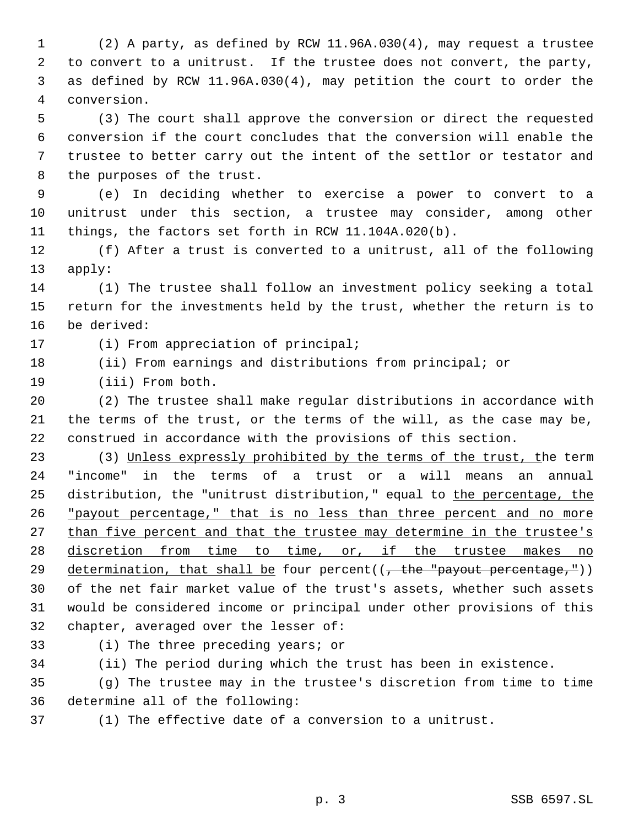(2) A party, as defined by RCW 11.96A.030(4), may request a trustee to convert to a unitrust. If the trustee does not convert, the party, as defined by RCW 11.96A.030(4), may petition the court to order the conversion.

 (3) The court shall approve the conversion or direct the requested conversion if the court concludes that the conversion will enable the trustee to better carry out the intent of the settlor or testator and the purposes of the trust.

 (e) In deciding whether to exercise a power to convert to a unitrust under this section, a trustee may consider, among other things, the factors set forth in RCW 11.104A.020(b).

 (f) After a trust is converted to a unitrust, all of the following apply:

 (1) The trustee shall follow an investment policy seeking a total return for the investments held by the trust, whether the return is to be derived:

(i) From appreciation of principal;

(ii) From earnings and distributions from principal; or

(iii) From both.

 (2) The trustee shall make regular distributions in accordance with the terms of the trust, or the terms of the will, as the case may be, construed in accordance with the provisions of this section.

 (3) Unless expressly prohibited by the terms of the trust, the term "income" in the terms of a trust or a will means an annual 25 distribution, the "unitrust distribution," equal to the percentage, the "payout percentage," that is no less than three percent and no more 27 than five percent and that the trustee may determine in the trustee's 28 discretion from time to time, or, if the trustee makes no 29 determination, that shall be four percent $((, -$ the "payout percentage,")) of the net fair market value of the trust's assets, whether such assets would be considered income or principal under other provisions of this chapter, averaged over the lesser of:

(i) The three preceding years; or

(ii) The period during which the trust has been in existence.

 (g) The trustee may in the trustee's discretion from time to time determine all of the following:

(1) The effective date of a conversion to a unitrust.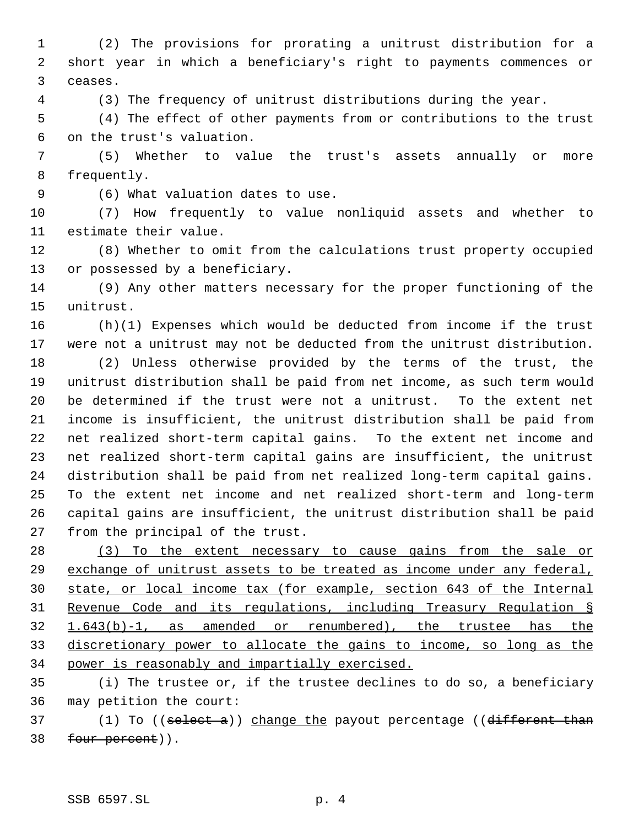(2) The provisions for prorating a unitrust distribution for a short year in which a beneficiary's right to payments commences or ceases.

(3) The frequency of unitrust distributions during the year.

 (4) The effect of other payments from or contributions to the trust on the trust's valuation.

 (5) Whether to value the trust's assets annually or more frequently.

(6) What valuation dates to use.

 (7) How frequently to value nonliquid assets and whether to estimate their value.

 (8) Whether to omit from the calculations trust property occupied or possessed by a beneficiary.

 (9) Any other matters necessary for the proper functioning of the unitrust.

 (h)(1) Expenses which would be deducted from income if the trust were not a unitrust may not be deducted from the unitrust distribution.

 (2) Unless otherwise provided by the terms of the trust, the unitrust distribution shall be paid from net income, as such term would be determined if the trust were not a unitrust. To the extent net income is insufficient, the unitrust distribution shall be paid from net realized short-term capital gains. To the extent net income and net realized short-term capital gains are insufficient, the unitrust distribution shall be paid from net realized long-term capital gains. To the extent net income and net realized short-term and long-term capital gains are insufficient, the unitrust distribution shall be paid from the principal of the trust.

 (3) To the extent necessary to cause gains from the sale or 29 exchange of unitrust assets to be treated as income under any federal, state, or local income tax (for example, section 643 of the Internal Revenue Code and its regulations, including Treasury Regulation § 1.643(b)-1, as amended or renumbered), the trustee has the discretionary power to allocate the gains to income, so long as the power is reasonably and impartially exercised.

 (i) The trustee or, if the trustee declines to do so, a beneficiary may petition the court:

37 (1) To ((select a)) change the payout percentage ((different than 38 four percent)).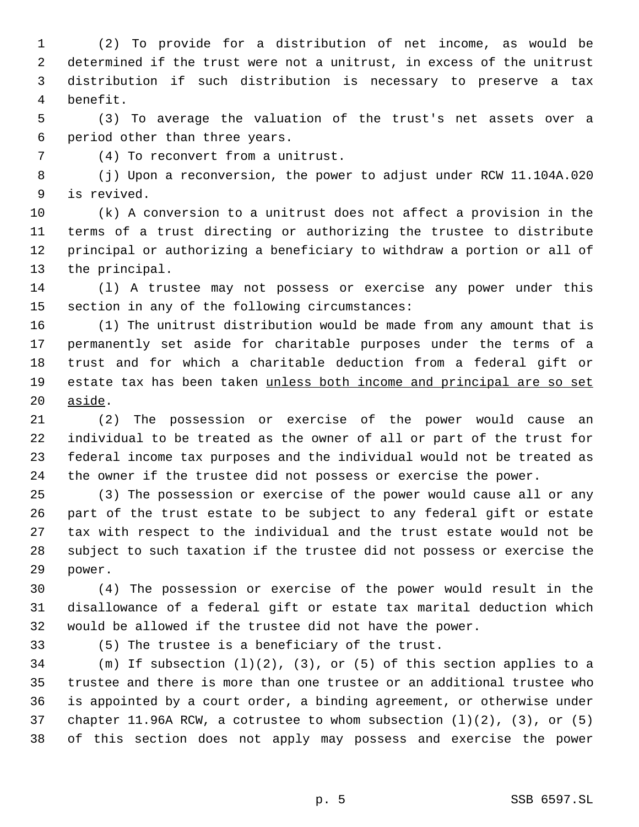(2) To provide for a distribution of net income, as would be determined if the trust were not a unitrust, in excess of the unitrust distribution if such distribution is necessary to preserve a tax benefit.

 (3) To average the valuation of the trust's net assets over a period other than three years.

(4) To reconvert from a unitrust.

 (j) Upon a reconversion, the power to adjust under RCW 11.104A.020 is revived.

 (k) A conversion to a unitrust does not affect a provision in the terms of a trust directing or authorizing the trustee to distribute principal or authorizing a beneficiary to withdraw a portion or all of the principal.

 (l) A trustee may not possess or exercise any power under this section in any of the following circumstances:

 (1) The unitrust distribution would be made from any amount that is permanently set aside for charitable purposes under the terms of a trust and for which a charitable deduction from a federal gift or estate tax has been taken unless both income and principal are so set aside.

 (2) The possession or exercise of the power would cause an individual to be treated as the owner of all or part of the trust for federal income tax purposes and the individual would not be treated as the owner if the trustee did not possess or exercise the power.

 (3) The possession or exercise of the power would cause all or any part of the trust estate to be subject to any federal gift or estate tax with respect to the individual and the trust estate would not be subject to such taxation if the trustee did not possess or exercise the power.

 (4) The possession or exercise of the power would result in the disallowance of a federal gift or estate tax marital deduction which would be allowed if the trustee did not have the power.

(5) The trustee is a beneficiary of the trust.

34 (m) If subsection  $(1)(2)$ ,  $(3)$ , or  $(5)$  of this section applies to a trustee and there is more than one trustee or an additional trustee who is appointed by a court order, a binding agreement, or otherwise under chapter 11.96A RCW, a cotrustee to whom subsection (l)(2), (3), or (5) of this section does not apply may possess and exercise the power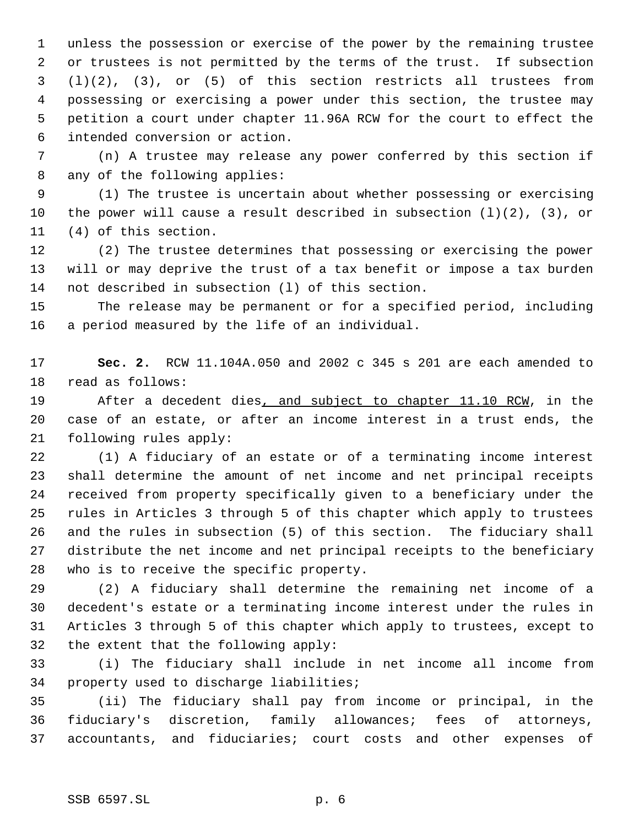unless the possession or exercise of the power by the remaining trustee or trustees is not permitted by the terms of the trust. If subsection (l)(2), (3), or (5) of this section restricts all trustees from possessing or exercising a power under this section, the trustee may petition a court under chapter 11.96A RCW for the court to effect the intended conversion or action.

 (n) A trustee may release any power conferred by this section if any of the following applies:

 (1) The trustee is uncertain about whether possessing or exercising the power will cause a result described in subsection (l)(2), (3), or (4) of this section.

 (2) The trustee determines that possessing or exercising the power will or may deprive the trust of a tax benefit or impose a tax burden not described in subsection (l) of this section.

 The release may be permanent or for a specified period, including a period measured by the life of an individual.

 **Sec. 2.** RCW 11.104A.050 and 2002 c 345 s 201 are each amended to read as follows:

19 After a decedent dies, and subject to chapter 11.10 RCW, in the case of an estate, or after an income interest in a trust ends, the following rules apply:

 (1) A fiduciary of an estate or of a terminating income interest shall determine the amount of net income and net principal receipts received from property specifically given to a beneficiary under the rules in Articles 3 through 5 of this chapter which apply to trustees and the rules in subsection (5) of this section. The fiduciary shall distribute the net income and net principal receipts to the beneficiary who is to receive the specific property.

 (2) A fiduciary shall determine the remaining net income of a decedent's estate or a terminating income interest under the rules in Articles 3 through 5 of this chapter which apply to trustees, except to the extent that the following apply:

 (i) The fiduciary shall include in net income all income from property used to discharge liabilities;

 (ii) The fiduciary shall pay from income or principal, in the fiduciary's discretion, family allowances; fees of attorneys, accountants, and fiduciaries; court costs and other expenses of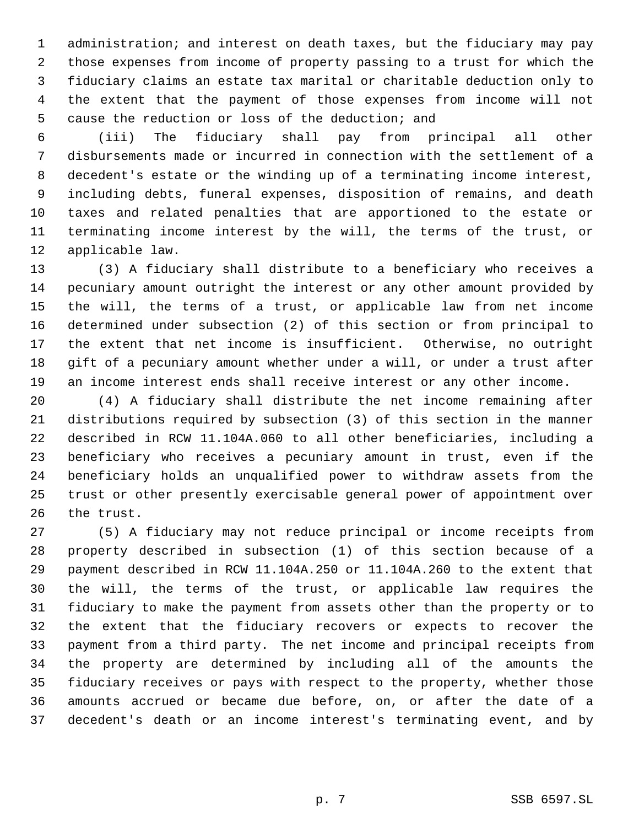administration; and interest on death taxes, but the fiduciary may pay those expenses from income of property passing to a trust for which the fiduciary claims an estate tax marital or charitable deduction only to the extent that the payment of those expenses from income will not cause the reduction or loss of the deduction; and

 (iii) The fiduciary shall pay from principal all other disbursements made or incurred in connection with the settlement of a decedent's estate or the winding up of a terminating income interest, including debts, funeral expenses, disposition of remains, and death taxes and related penalties that are apportioned to the estate or terminating income interest by the will, the terms of the trust, or applicable law.

 (3) A fiduciary shall distribute to a beneficiary who receives a pecuniary amount outright the interest or any other amount provided by the will, the terms of a trust, or applicable law from net income determined under subsection (2) of this section or from principal to the extent that net income is insufficient. Otherwise, no outright gift of a pecuniary amount whether under a will, or under a trust after an income interest ends shall receive interest or any other income.

 (4) A fiduciary shall distribute the net income remaining after distributions required by subsection (3) of this section in the manner described in RCW 11.104A.060 to all other beneficiaries, including a beneficiary who receives a pecuniary amount in trust, even if the beneficiary holds an unqualified power to withdraw assets from the trust or other presently exercisable general power of appointment over the trust.

 (5) A fiduciary may not reduce principal or income receipts from property described in subsection (1) of this section because of a payment described in RCW 11.104A.250 or 11.104A.260 to the extent that the will, the terms of the trust, or applicable law requires the fiduciary to make the payment from assets other than the property or to the extent that the fiduciary recovers or expects to recover the payment from a third party. The net income and principal receipts from the property are determined by including all of the amounts the fiduciary receives or pays with respect to the property, whether those amounts accrued or became due before, on, or after the date of a decedent's death or an income interest's terminating event, and by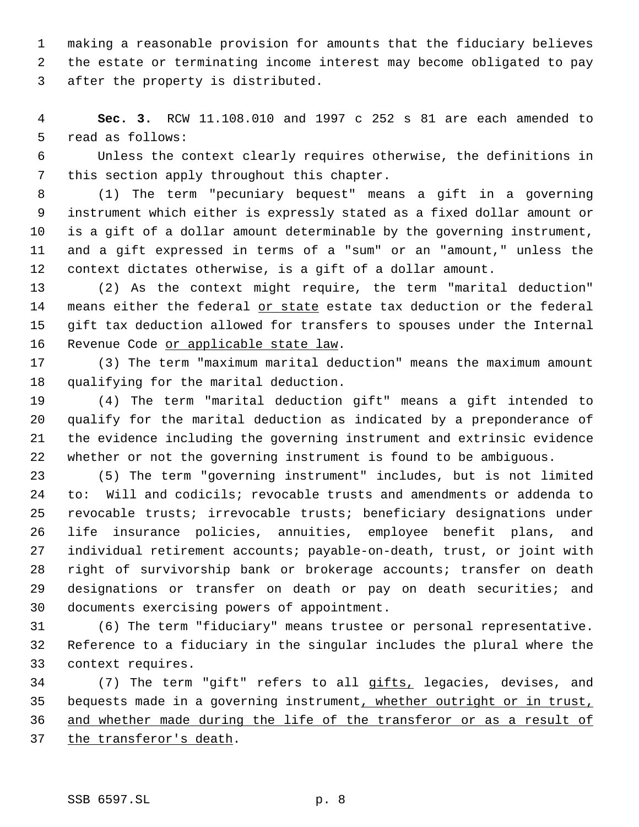making a reasonable provision for amounts that the fiduciary believes the estate or terminating income interest may become obligated to pay after the property is distributed.

 **Sec. 3.** RCW 11.108.010 and 1997 c 252 s 81 are each amended to read as follows:

 Unless the context clearly requires otherwise, the definitions in this section apply throughout this chapter.

 (1) The term "pecuniary bequest" means a gift in a governing instrument which either is expressly stated as a fixed dollar amount or is a gift of a dollar amount determinable by the governing instrument, and a gift expressed in terms of a "sum" or an "amount," unless the context dictates otherwise, is a gift of a dollar amount.

 (2) As the context might require, the term "marital deduction" 14 means either the federal or state estate tax deduction or the federal gift tax deduction allowed for transfers to spouses under the Internal 16 Revenue Code or applicable state law.

 (3) The term "maximum marital deduction" means the maximum amount qualifying for the marital deduction.

 (4) The term "marital deduction gift" means a gift intended to qualify for the marital deduction as indicated by a preponderance of the evidence including the governing instrument and extrinsic evidence whether or not the governing instrument is found to be ambiguous.

 (5) The term "governing instrument" includes, but is not limited to: Will and codicils; revocable trusts and amendments or addenda to revocable trusts; irrevocable trusts; beneficiary designations under life insurance policies, annuities, employee benefit plans, and individual retirement accounts; payable-on-death, trust, or joint with right of survivorship bank or brokerage accounts; transfer on death designations or transfer on death or pay on death securities; and documents exercising powers of appointment.

 (6) The term "fiduciary" means trustee or personal representative. Reference to a fiduciary in the singular includes the plural where the context requires.

34 (7) The term "gift" refers to all gifts, legacies, devises, and 35 bequests made in a governing instrument, whether outright or in trust, and whether made during the life of the transferor or as a result of 37 the transferor's death.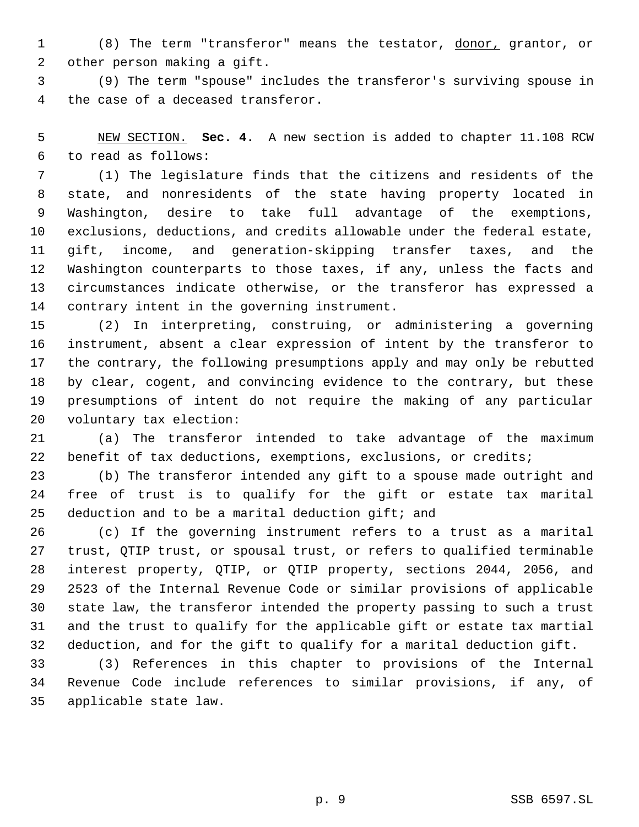(8) The term "transferor" means the testator, donor, grantor, or other person making a gift.

 (9) The term "spouse" includes the transferor's surviving spouse in the case of a deceased transferor.

 NEW SECTION. **Sec. 4.** A new section is added to chapter 11.108 RCW to read as follows:

 (1) The legislature finds that the citizens and residents of the state, and nonresidents of the state having property located in Washington, desire to take full advantage of the exemptions, exclusions, deductions, and credits allowable under the federal estate, gift, income, and generation-skipping transfer taxes, and the Washington counterparts to those taxes, if any, unless the facts and circumstances indicate otherwise, or the transferor has expressed a contrary intent in the governing instrument.

 (2) In interpreting, construing, or administering a governing instrument, absent a clear expression of intent by the transferor to the contrary, the following presumptions apply and may only be rebutted by clear, cogent, and convincing evidence to the contrary, but these presumptions of intent do not require the making of any particular voluntary tax election:

 (a) The transferor intended to take advantage of the maximum benefit of tax deductions, exemptions, exclusions, or credits;

 (b) The transferor intended any gift to a spouse made outright and free of trust is to qualify for the gift or estate tax marital 25 deduction and to be a marital deduction gift; and

 (c) If the governing instrument refers to a trust as a marital trust, QTIP trust, or spousal trust, or refers to qualified terminable interest property, QTIP, or QTIP property, sections 2044, 2056, and 2523 of the Internal Revenue Code or similar provisions of applicable state law, the transferor intended the property passing to such a trust and the trust to qualify for the applicable gift or estate tax martial deduction, and for the gift to qualify for a marital deduction gift.

 (3) References in this chapter to provisions of the Internal Revenue Code include references to similar provisions, if any, of applicable state law.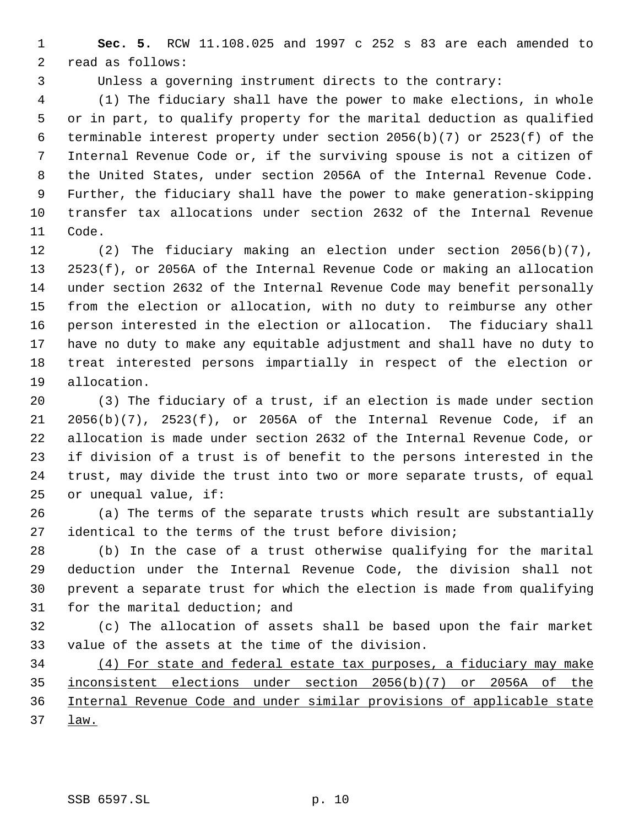**Sec. 5.** RCW 11.108.025 and 1997 c 252 s 83 are each amended to read as follows:

Unless a governing instrument directs to the contrary:

 (1) The fiduciary shall have the power to make elections, in whole or in part, to qualify property for the marital deduction as qualified terminable interest property under section 2056(b)(7) or 2523(f) of the Internal Revenue Code or, if the surviving spouse is not a citizen of the United States, under section 2056A of the Internal Revenue Code. Further, the fiduciary shall have the power to make generation-skipping transfer tax allocations under section 2632 of the Internal Revenue Code.

 (2) The fiduciary making an election under section 2056(b)(7), 2523(f), or 2056A of the Internal Revenue Code or making an allocation under section 2632 of the Internal Revenue Code may benefit personally from the election or allocation, with no duty to reimburse any other person interested in the election or allocation. The fiduciary shall have no duty to make any equitable adjustment and shall have no duty to treat interested persons impartially in respect of the election or allocation.

 (3) The fiduciary of a trust, if an election is made under section 2056(b)(7), 2523(f), or 2056A of the Internal Revenue Code, if an allocation is made under section 2632 of the Internal Revenue Code, or if division of a trust is of benefit to the persons interested in the trust, may divide the trust into two or more separate trusts, of equal or unequal value, if:

 (a) The terms of the separate trusts which result are substantially identical to the terms of the trust before division;

 (b) In the case of a trust otherwise qualifying for the marital deduction under the Internal Revenue Code, the division shall not prevent a separate trust for which the election is made from qualifying for the marital deduction; and

 (c) The allocation of assets shall be based upon the fair market value of the assets at the time of the division.

 (4) For state and federal estate tax purposes, a fiduciary may make inconsistent elections under section 2056(b)(7) or 2056A of the Internal Revenue Code and under similar provisions of applicable state law.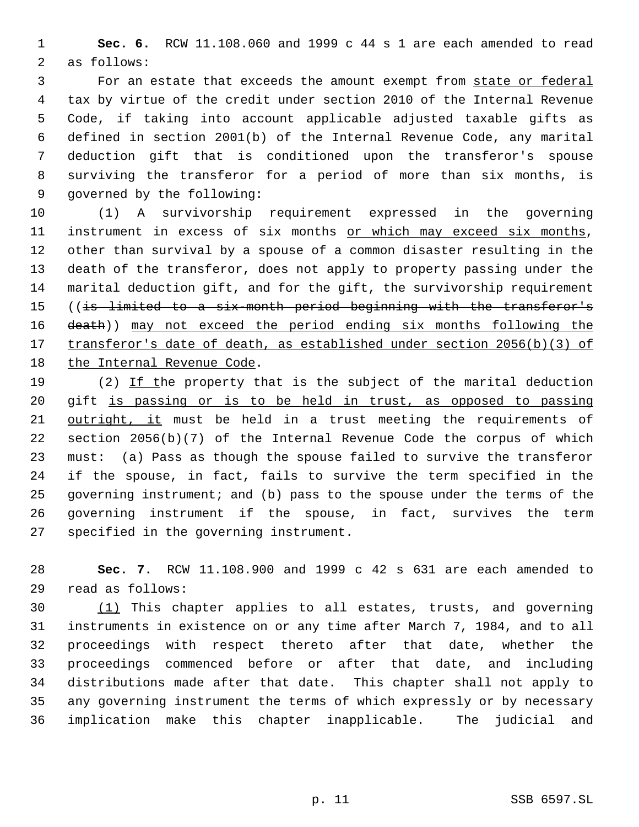**Sec. 6.** RCW 11.108.060 and 1999 c 44 s 1 are each amended to read as follows:

 For an estate that exceeds the amount exempt from state or federal tax by virtue of the credit under section 2010 of the Internal Revenue Code, if taking into account applicable adjusted taxable gifts as defined in section 2001(b) of the Internal Revenue Code, any marital deduction gift that is conditioned upon the transferor's spouse surviving the transferor for a period of more than six months, is governed by the following:

 (1) A survivorship requirement expressed in the governing 11 instrument in excess of six months or which may exceed six months, other than survival by a spouse of a common disaster resulting in the death of the transferor, does not apply to property passing under the marital deduction gift, and for the gift, the survivorship requirement 15 ((is limited to a six-month period beginning with the transferor's death)) may not exceed the period ending six months following the 17 transferor's date of death, as established under section 2056(b)(3) of 18 the Internal Revenue Code.

19 (2) If the property that is the subject of the marital deduction gift is passing or is to be held in trust, as opposed to passing outright, it must be held in a trust meeting the requirements of section 2056(b)(7) of the Internal Revenue Code the corpus of which must: (a) Pass as though the spouse failed to survive the transferor if the spouse, in fact, fails to survive the term specified in the governing instrument; and (b) pass to the spouse under the terms of the governing instrument if the spouse, in fact, survives the term specified in the governing instrument.

 **Sec. 7.** RCW 11.108.900 and 1999 c 42 s 631 are each amended to read as follows:

 $(1)$  This chapter applies to all estates, trusts, and governing instruments in existence on or any time after March 7, 1984, and to all proceedings with respect thereto after that date, whether the proceedings commenced before or after that date, and including distributions made after that date. This chapter shall not apply to any governing instrument the terms of which expressly or by necessary implication make this chapter inapplicable. The judicial and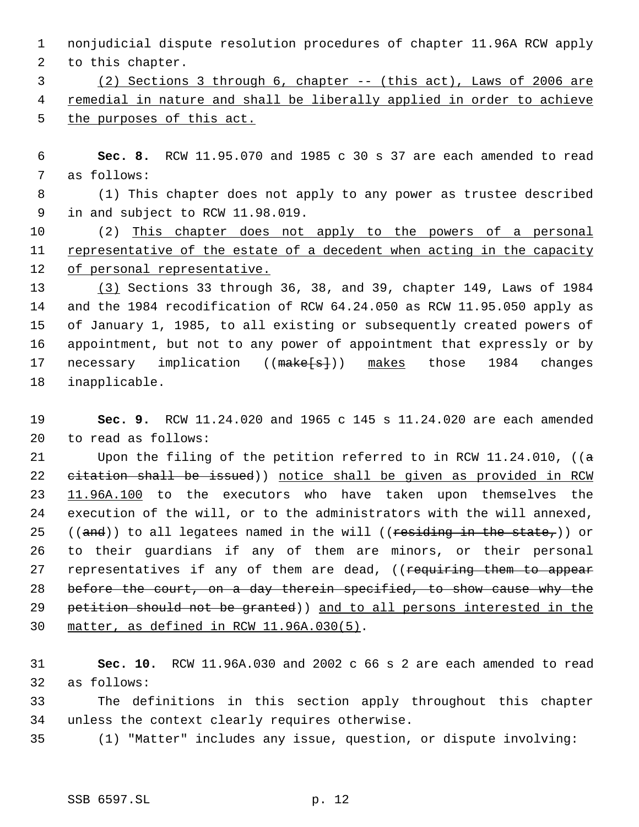nonjudicial dispute resolution procedures of chapter 11.96A RCW apply to this chapter.

 (2) Sections 3 through 6, chapter -- (this act), Laws of 2006 are remedial in nature and shall be liberally applied in order to achieve 5 the purposes of this act.

 **Sec. 8.** RCW 11.95.070 and 1985 c 30 s 37 are each amended to read as follows:

 (1) This chapter does not apply to any power as trustee described in and subject to RCW 11.98.019.

 (2) This chapter does not apply to the powers of a personal representative of the estate of a decedent when acting in the capacity 12 of personal representative.

 (3) Sections 33 through 36, 38, and 39, chapter 149, Laws of 1984 and the 1984 recodification of RCW 64.24.050 as RCW 11.95.050 apply as of January 1, 1985, to all existing or subsequently created powers of appointment, but not to any power of appointment that expressly or by 17 necessary implication ((make[s])) makes those 1984 changes inapplicable.

 **Sec. 9.** RCW 11.24.020 and 1965 c 145 s 11.24.020 are each amended to read as follows:

21 Upon the filing of the petition referred to in RCW 11.24.010, ( $(a - b)$  citation shall be issued)) notice shall be given as provided in RCW 11.96A.100 to the executors who have taken upon themselves the execution of the will, or to the administrators with the will annexed, 25 ((and)) to all legatees named in the will ((residing in the state,)) or to their guardians if any of them are minors, or their personal 27 representatives if any of them are dead, ((requiring them to appear before the court, on a day therein specified, to show cause why the petition should not be granted)) and to all persons interested in the matter, as defined in RCW 11.96A.030(5).

 **Sec. 10.** RCW 11.96A.030 and 2002 c 66 s 2 are each amended to read as follows:

 The definitions in this section apply throughout this chapter unless the context clearly requires otherwise.

(1) "Matter" includes any issue, question, or dispute involving: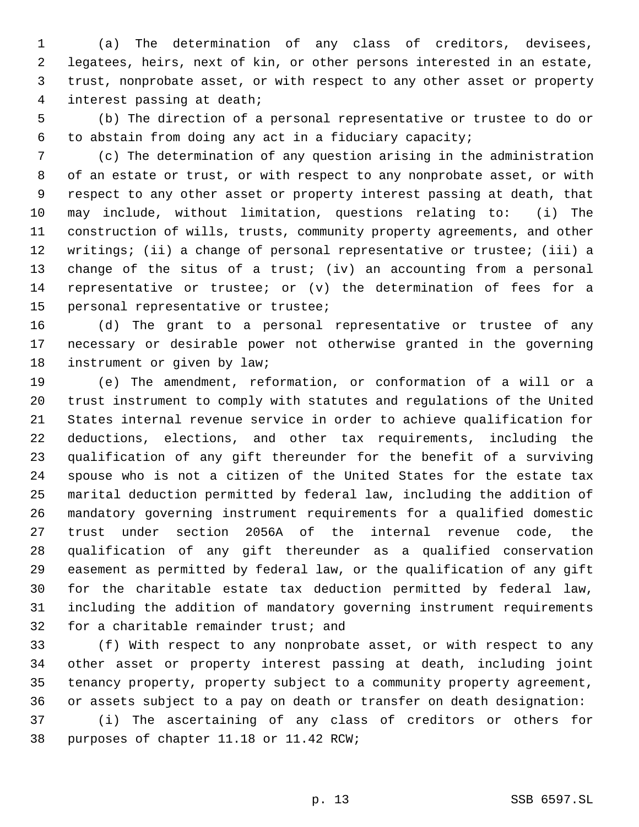(a) The determination of any class of creditors, devisees, legatees, heirs, next of kin, or other persons interested in an estate, trust, nonprobate asset, or with respect to any other asset or property interest passing at death;

 (b) The direction of a personal representative or trustee to do or to abstain from doing any act in a fiduciary capacity;

 (c) The determination of any question arising in the administration of an estate or trust, or with respect to any nonprobate asset, or with respect to any other asset or property interest passing at death, that may include, without limitation, questions relating to: (i) The construction of wills, trusts, community property agreements, and other writings; (ii) a change of personal representative or trustee; (iii) a change of the situs of a trust; (iv) an accounting from a personal representative or trustee; or (v) the determination of fees for a personal representative or trustee;

 (d) The grant to a personal representative or trustee of any necessary or desirable power not otherwise granted in the governing 18 instrument or given by law;

 (e) The amendment, reformation, or conformation of a will or a trust instrument to comply with statutes and regulations of the United States internal revenue service in order to achieve qualification for deductions, elections, and other tax requirements, including the qualification of any gift thereunder for the benefit of a surviving spouse who is not a citizen of the United States for the estate tax marital deduction permitted by federal law, including the addition of mandatory governing instrument requirements for a qualified domestic trust under section 2056A of the internal revenue code, the qualification of any gift thereunder as a qualified conservation easement as permitted by federal law, or the qualification of any gift for the charitable estate tax deduction permitted by federal law, including the addition of mandatory governing instrument requirements for a charitable remainder trust; and

 (f) With respect to any nonprobate asset, or with respect to any other asset or property interest passing at death, including joint tenancy property, property subject to a community property agreement, or assets subject to a pay on death or transfer on death designation:

 (i) The ascertaining of any class of creditors or others for purposes of chapter 11.18 or 11.42 RCW;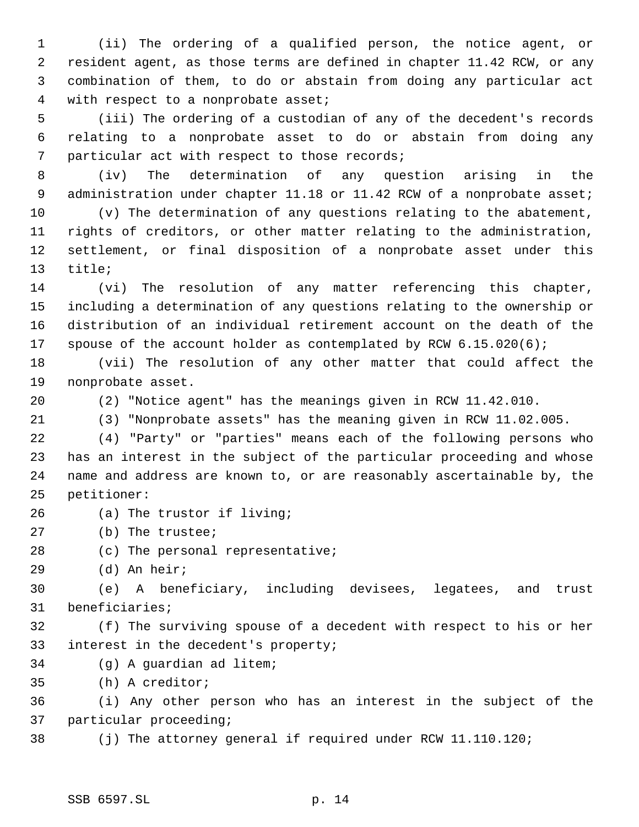(ii) The ordering of a qualified person, the notice agent, or resident agent, as those terms are defined in chapter 11.42 RCW, or any combination of them, to do or abstain from doing any particular act with respect to a nonprobate asset;

 (iii) The ordering of a custodian of any of the decedent's records relating to a nonprobate asset to do or abstain from doing any particular act with respect to those records;

 (iv) The determination of any question arising in the 9 administration under chapter 11.18 or 11.42 RCW of a nonprobate asset;

 (v) The determination of any questions relating to the abatement, rights of creditors, or other matter relating to the administration, settlement, or final disposition of a nonprobate asset under this title;

 (vi) The resolution of any matter referencing this chapter, including a determination of any questions relating to the ownership or distribution of an individual retirement account on the death of the 17 spouse of the account holder as contemplated by RCW 6.15.020(6);

 (vii) The resolution of any other matter that could affect the nonprobate asset.

(2) "Notice agent" has the meanings given in RCW 11.42.010.

(3) "Nonprobate assets" has the meaning given in RCW 11.02.005.

 (4) "Party" or "parties" means each of the following persons who has an interest in the subject of the particular proceeding and whose name and address are known to, or are reasonably ascertainable by, the petitioner:

- (a) The trustor if living;
- (b) The trustee;
- (c) The personal representative;
- (d) An heir;

 (e) A beneficiary, including devisees, legatees, and trust beneficiaries;

 (f) The surviving spouse of a decedent with respect to his or her interest in the decedent's property;

(g) A guardian ad litem;

(h) A creditor;

 (i) Any other person who has an interest in the subject of the particular proceeding;

(j) The attorney general if required under RCW 11.110.120;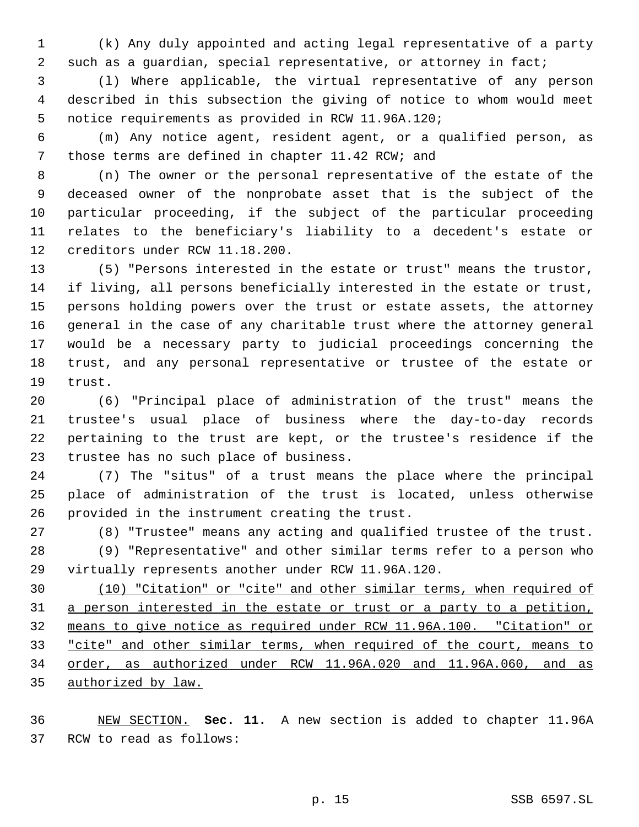(k) Any duly appointed and acting legal representative of a party such as a guardian, special representative, or attorney in fact;

 (l) Where applicable, the virtual representative of any person described in this subsection the giving of notice to whom would meet notice requirements as provided in RCW 11.96A.120;

 (m) Any notice agent, resident agent, or a qualified person, as those terms are defined in chapter 11.42 RCW; and

 (n) The owner or the personal representative of the estate of the deceased owner of the nonprobate asset that is the subject of the particular proceeding, if the subject of the particular proceeding relates to the beneficiary's liability to a decedent's estate or creditors under RCW 11.18.200.

 (5) "Persons interested in the estate or trust" means the trustor, if living, all persons beneficially interested in the estate or trust, persons holding powers over the trust or estate assets, the attorney general in the case of any charitable trust where the attorney general would be a necessary party to judicial proceedings concerning the trust, and any personal representative or trustee of the estate or trust.

 (6) "Principal place of administration of the trust" means the trustee's usual place of business where the day-to-day records pertaining to the trust are kept, or the trustee's residence if the trustee has no such place of business.

 (7) The "situs" of a trust means the place where the principal place of administration of the trust is located, unless otherwise provided in the instrument creating the trust.

(8) "Trustee" means any acting and qualified trustee of the trust.

 (9) "Representative" and other similar terms refer to a person who virtually represents another under RCW 11.96A.120.

 (10) "Citation" or "cite" and other similar terms, when required of 31 a person interested in the estate or trust or a party to a petition, means to give notice as required under RCW 11.96A.100. "Citation" or 33 "cite" and other similar terms, when required of the court, means to order, as authorized under RCW 11.96A.020 and 11.96A.060, and as authorized by law.

 NEW SECTION. **Sec. 11.** A new section is added to chapter 11.96A RCW to read as follows: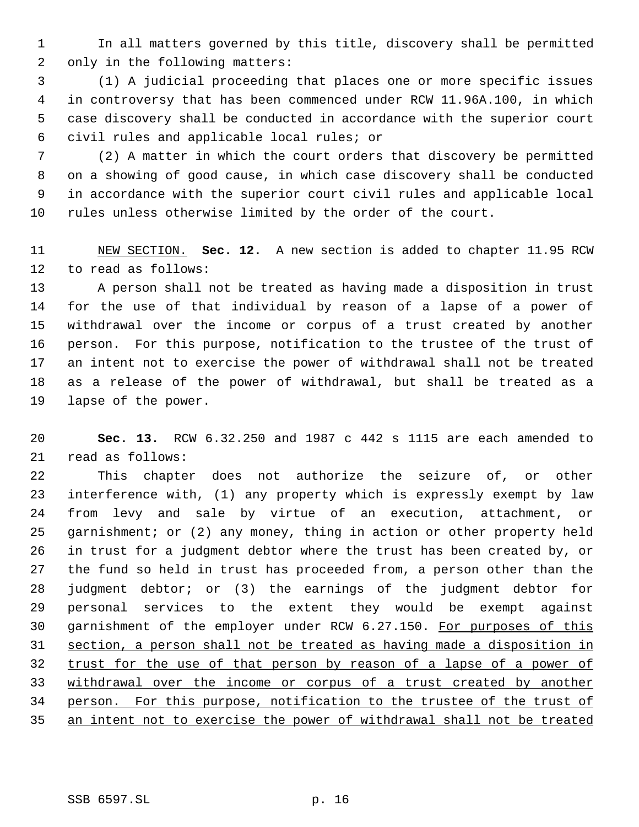In all matters governed by this title, discovery shall be permitted only in the following matters:

 (1) A judicial proceeding that places one or more specific issues in controversy that has been commenced under RCW 11.96A.100, in which case discovery shall be conducted in accordance with the superior court civil rules and applicable local rules; or

 (2) A matter in which the court orders that discovery be permitted on a showing of good cause, in which case discovery shall be conducted in accordance with the superior court civil rules and applicable local rules unless otherwise limited by the order of the court.

 NEW SECTION. **Sec. 12.** A new section is added to chapter 11.95 RCW to read as follows:

 A person shall not be treated as having made a disposition in trust for the use of that individual by reason of a lapse of a power of withdrawal over the income or corpus of a trust created by another person. For this purpose, notification to the trustee of the trust of an intent not to exercise the power of withdrawal shall not be treated as a release of the power of withdrawal, but shall be treated as a lapse of the power.

 **Sec. 13.** RCW 6.32.250 and 1987 c 442 s 1115 are each amended to read as follows:

 This chapter does not authorize the seizure of, or other interference with, (1) any property which is expressly exempt by law from levy and sale by virtue of an execution, attachment, or garnishment; or (2) any money, thing in action or other property held in trust for a judgment debtor where the trust has been created by, or the fund so held in trust has proceeded from, a person other than the judgment debtor; or (3) the earnings of the judgment debtor for personal services to the extent they would be exempt against 30 garnishment of the employer under RCW 6.27.150. For purposes of this section, a person shall not be treated as having made a disposition in 32 trust for the use of that person by reason of a lapse of a power of withdrawal over the income or corpus of a trust created by another person. For this purpose, notification to the trustee of the trust of an intent not to exercise the power of withdrawal shall not be treated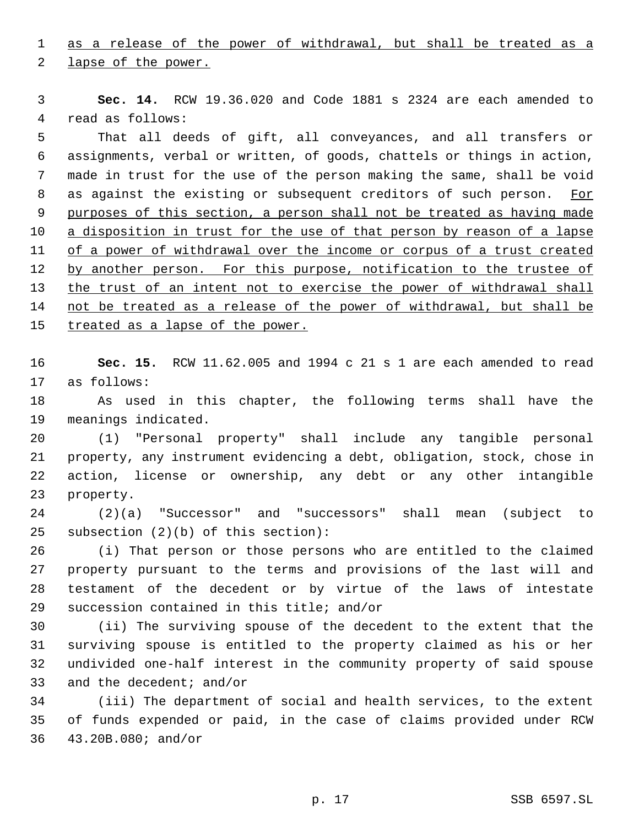as a release of the power of withdrawal, but shall be treated as a

2 lapse of the power.

 **Sec. 14.** RCW 19.36.020 and Code 1881 s 2324 are each amended to read as follows:

 That all deeds of gift, all conveyances, and all transfers or assignments, verbal or written, of goods, chattels or things in action, made in trust for the use of the person making the same, shall be void 8 as against the existing or subsequent creditors of such person. For purposes of this section, a person shall not be treated as having made a disposition in trust for the use of that person by reason of a lapse of a power of withdrawal over the income or corpus of a trust created 12 by another person. For this purpose, notification to the trustee of the trust of an intent not to exercise the power of withdrawal shall 14 not be treated as a release of the power of withdrawal, but shall be 15 treated as a lapse of the power.

 **Sec. 15.** RCW 11.62.005 and 1994 c 21 s 1 are each amended to read as follows:

 As used in this chapter, the following terms shall have the meanings indicated.

 (1) "Personal property" shall include any tangible personal property, any instrument evidencing a debt, obligation, stock, chose in action, license or ownership, any debt or any other intangible property.

 (2)(a) "Successor" and "successors" shall mean (subject to subsection (2)(b) of this section):

 (i) That person or those persons who are entitled to the claimed property pursuant to the terms and provisions of the last will and testament of the decedent or by virtue of the laws of intestate succession contained in this title; and/or

 (ii) The surviving spouse of the decedent to the extent that the surviving spouse is entitled to the property claimed as his or her undivided one-half interest in the community property of said spouse and the decedent; and/or

 (iii) The department of social and health services, to the extent of funds expended or paid, in the case of claims provided under RCW 43.20B.080; and/or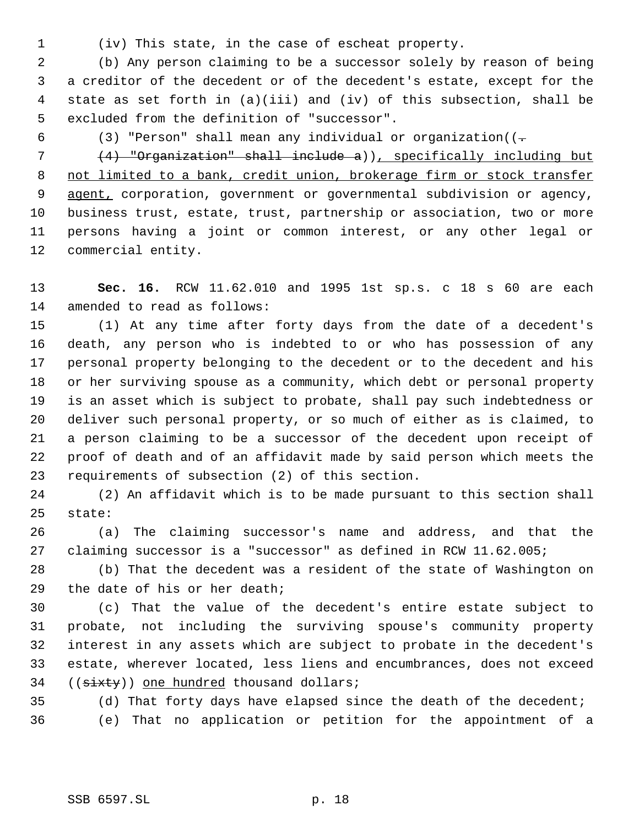(iv) This state, in the case of escheat property.

 (b) Any person claiming to be a successor solely by reason of being a creditor of the decedent or of the decedent's estate, except for the state as set forth in (a)(iii) and (iv) of this subsection, shall be excluded from the definition of "successor".

6 (3) "Person" shall mean any individual or organization( $(-$ 

 (4) "Organization" shall include a)), specifically including but not limited to a bank, credit union, brokerage firm or stock transfer agent, corporation, government or governmental subdivision or agency, business trust, estate, trust, partnership or association, two or more persons having a joint or common interest, or any other legal or commercial entity.

 **Sec. 16.** RCW 11.62.010 and 1995 1st sp.s. c 18 s 60 are each amended to read as follows:

 (1) At any time after forty days from the date of a decedent's death, any person who is indebted to or who has possession of any personal property belonging to the decedent or to the decedent and his or her surviving spouse as a community, which debt or personal property is an asset which is subject to probate, shall pay such indebtedness or deliver such personal property, or so much of either as is claimed, to a person claiming to be a successor of the decedent upon receipt of proof of death and of an affidavit made by said person which meets the requirements of subsection (2) of this section.

 (2) An affidavit which is to be made pursuant to this section shall state:

 (a) The claiming successor's name and address, and that the claiming successor is a "successor" as defined in RCW 11.62.005;

 (b) That the decedent was a resident of the state of Washington on the date of his or her death;

 (c) That the value of the decedent's entire estate subject to probate, not including the surviving spouse's community property interest in any assets which are subject to probate in the decedent's estate, wherever located, less liens and encumbrances, does not exceed 34 ((sixty)) one hundred thousand dollars;

(d) That forty days have elapsed since the death of the decedent;

(e) That no application or petition for the appointment of a

SSB 6597.SL p. 18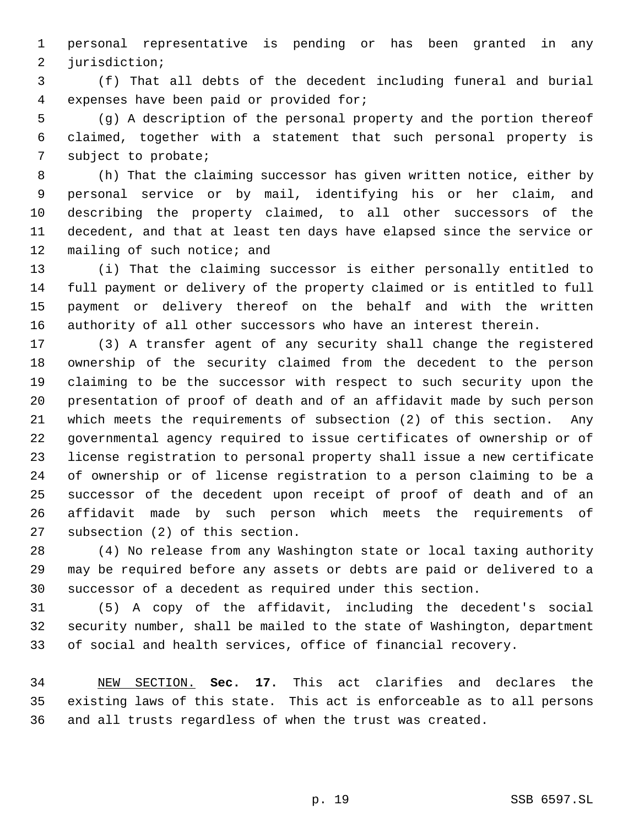personal representative is pending or has been granted in any jurisdiction;

 (f) That all debts of the decedent including funeral and burial expenses have been paid or provided for;

 (g) A description of the personal property and the portion thereof claimed, together with a statement that such personal property is subject to probate;

 (h) That the claiming successor has given written notice, either by personal service or by mail, identifying his or her claim, and describing the property claimed, to all other successors of the decedent, and that at least ten days have elapsed since the service or 12 mailing of such notice; and

 (i) That the claiming successor is either personally entitled to full payment or delivery of the property claimed or is entitled to full payment or delivery thereof on the behalf and with the written authority of all other successors who have an interest therein.

 (3) A transfer agent of any security shall change the registered ownership of the security claimed from the decedent to the person claiming to be the successor with respect to such security upon the presentation of proof of death and of an affidavit made by such person which meets the requirements of subsection (2) of this section. Any governmental agency required to issue certificates of ownership or of license registration to personal property shall issue a new certificate of ownership or of license registration to a person claiming to be a successor of the decedent upon receipt of proof of death and of an affidavit made by such person which meets the requirements of subsection (2) of this section.

 (4) No release from any Washington state or local taxing authority may be required before any assets or debts are paid or delivered to a successor of a decedent as required under this section.

 (5) A copy of the affidavit, including the decedent's social security number, shall be mailed to the state of Washington, department of social and health services, office of financial recovery.

 NEW SECTION. **Sec. 17.** This act clarifies and declares the existing laws of this state. This act is enforceable as to all persons and all trusts regardless of when the trust was created.